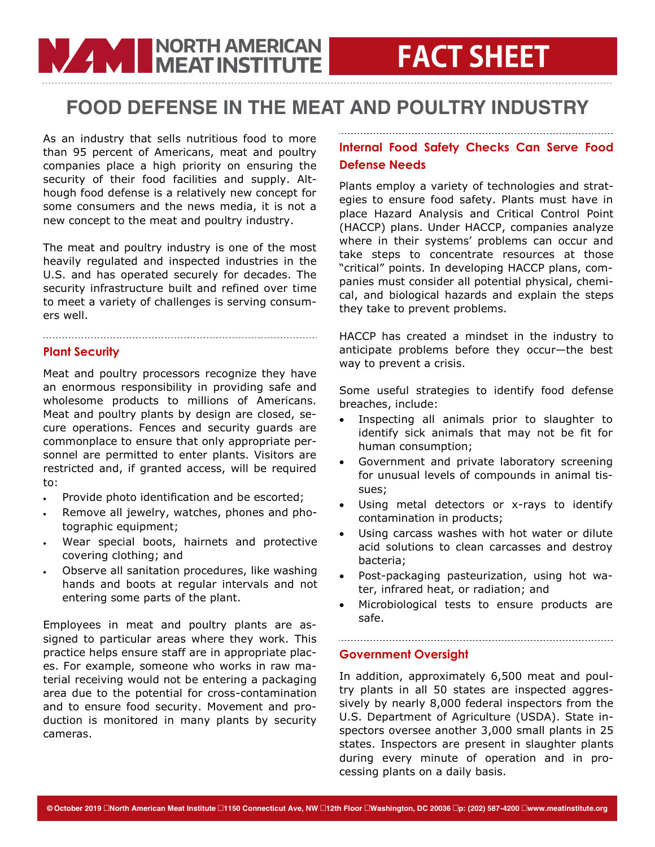### FOOD DEFENSE IN THE MEAT AND POULTRY INDUSTRY

As an industry that sells nutritious food to more than 95 percent of Americans, meat and poultry companies place a high priority on ensuring the security of their food facilities and supply. Although food defense is a relatively new concept for some consumers and the news media, it is not a new concept to the meat and poultry industry.

**WARD IN DISPUTE THE MEAT INSTITUTE** 

The meat and poultry industry is one of the most heavily regulated and inspected industries in the U.S. and has operated securely for decades. The security infrastructure built and refined over time to meet a variety of challenges is serving consumers well.

#### **Plant Security**

Meat and poultry processors recognize they have an enormous responsibility in providing safe and wholesome products to millions of Americans. Meat and poultry plants by design are closed, secure operations. Fences and security guards are commonplace to ensure that only appropriate personnel are permitted to enter plants. Visitors are restricted and, if granted access, will be required to:

- Provide photo identification and be escorted;
- Remove all jewelry, watches, phones and photographic equipment;
- Wear special boots, hairnets and protective covering clothing; and
- Observe all sanitation procedures, like washing hands and boots at regular intervals and not entering some parts of the plant.

Employees in meat and poultry plants are assigned to particular areas where they work. This practice helps ensure staff are in appropriate places. For example, someone who works in raw material receiving would not be entering a packaging area due to the potential for cross-contamination and to ensure food security. Movement and production is monitored in many plants by security cameras.

### **Internal Food Safety Checks Can Serve Food Defense Needs**

Plants employ a variety of technologies and strategies to ensure food safety. Plants must have in place Hazard Analysis and Critical Control Point (HACCP) plans. Under HACCP, companies analyze where in their systems' problems can occur and take steps to concentrate resources at those "critical" points. In developing HACCP plans, companies must consider all potential physical, chemical, and biological hazards and explain the steps they take to prevent problems.

HACCP has created a mindset in the industry to anticipate problems before they occur—the best way to prevent a crisis.

Some useful strategies to identify food defense breaches, include:

- Inspecting all animals prior to slaughter to identify sick animals that may not be fit for human consumption;
- Government and private laboratory screening for unusual levels of compounds in animal tissues;
- Using metal detectors or x-rays to identify contamination in products;
- Using carcass washes with hot water or dilute acid solutions to clean carcasses and destroy bacteria;
- Post-packaging pasteurization, using hot water, infrared heat, or radiation; and
- Microbiological tests to ensure products are safe.

### **Government Oversight**

In addition, approximately 6,500 meat and poultry plants in all 50 states are inspected aggressively by nearly 8,000 federal inspectors from the U.S. Department of Agriculture (USDA). State inspectors oversee another 3,000 small plants in 25 states. Inspectors are present in slaughter plants during every minute of operation and in processing plants on a daily basis.